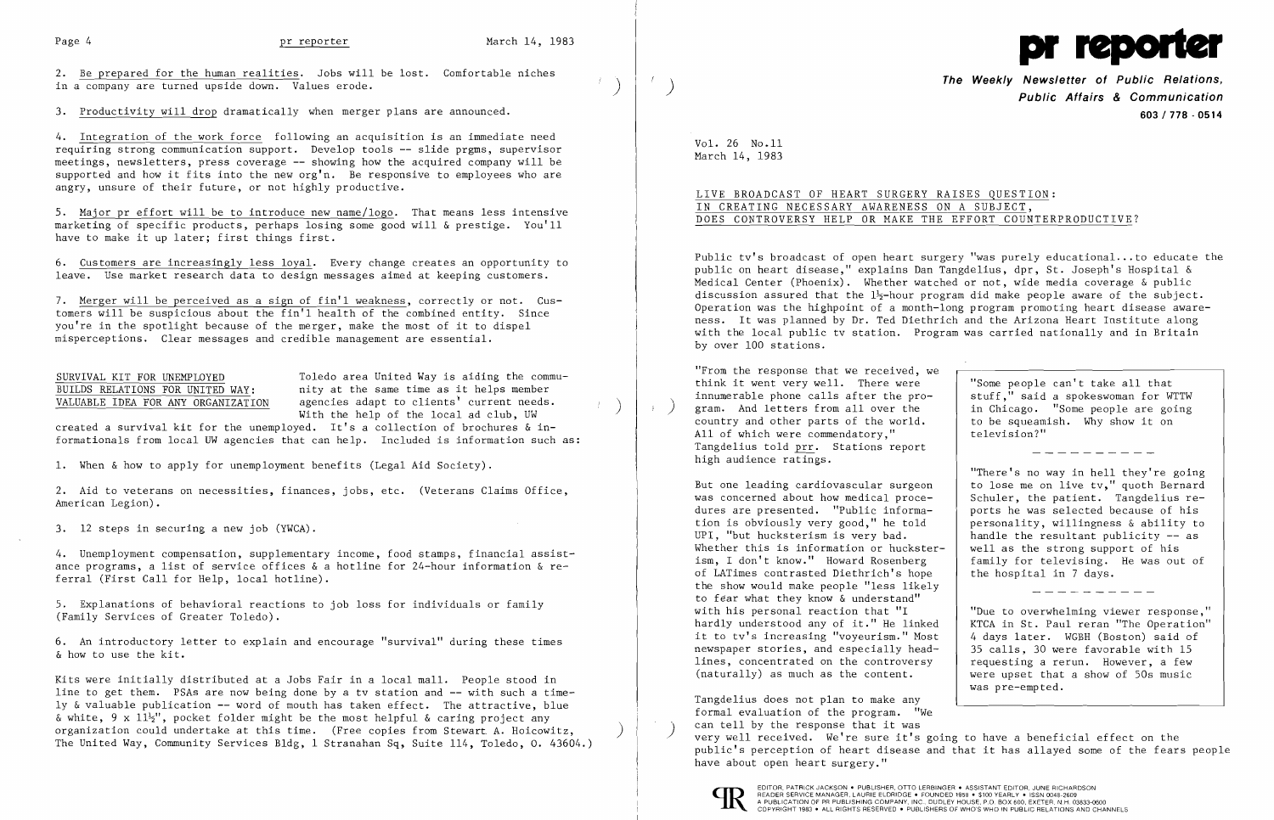2. Be prepared for the human realities. Jobs will be lost. Comfortable niches in a company are turned upside down. Values erode.

3. Productivity will drop dramatically when merger plans are announced.

4. Integration of the work force following an acquisition is an immediate need requiring strong communication support. Develop tools **--** slide prgms, supervisor meetings, newsletters, press coverage **--** showing how the acquired company will be supported and how it fits into the new org'n. Be responsive to employees who are angry, unsure of their future, or not highly productive.

5. Major pr effort will be to introduce new name/logo. That means less intensive marketing of specific products, perhaps losing some good will & prestige. You'll have to make it up later; first things first.

6. Customers are increasingly less loyal. Every change creates an opportunity to leave. Use market research data to design messages aimed at keeping customers.

7. Merger will be perceived as a sign of fin'l weakness, correctly or not. Customers will be suspicious about the fin'l health of the combined entity. Since you're in the spotlight because of the merger, make the most of it to dispel misperceptions. Clear messages and credible management are essential.

SURVIVAL KIT FOR UNEMPLOYED<br>BUILDS RELATIONS FOR UNITED WAY: Thity at the same time as it helps member BUILDS RELATIONS FOR UNITED WAY: nity at the same time as it helps member<br>VALUABLE IDEA FOR ANY ORGANIZATION agencies adapt to clients' current needs. agencies adapt to clients' current needs.<br>With the help of the local ad club, UW

created a survival kit for the unemployed. It's a collection of brochures & informationals from local UW agencies that can help. Included is information such as:

1. When & how to apply for unemployment benefits (Legal Aid Society).

2. Aid to veterans on necessities, finances, jobs, etc. (Veterans Claims Office, American Legion).

3. 12 steps in securing a new job (YWCA).

4. Unemployment compensation, supplementary income, food stamps, financial assistance programs, a list of service offices & a hotline for 24-hour information & referral (First Call for Help, local hotline).

5. Explanations of behavioral reactions to job loss for individuals or family (Family Services of Greater Toledo).

6. An introductory letter to explain and encourage "survival" during these times & how to use the kit.

Kits were initially distributed at a Jobs Fair in a local mall. People stood in line to get them. PSAs are now being done by a tv station and **--** with such a timely &valuable publication -- word of mouth has taken effect. The attractive, blue & white, 9 x  $11\frac{1}{2}$ , pocket folder might be the most helpful & caring project any organization could undertake at this time. (Free copies from Stewart A. Hoicowitz, ) The United Way, Community Services Bldg, 1 Stranahan Sq, Suite 114, Toledo, o. 43604.)



**The Weekly Newsletter of Public Relations,** ) **Public Affairs & Communication 603/778 - 0514** 

in Chicago. "Some people are going<br>to be squeamish. Why show it on

"There's no way in hell they're going handle the resultant publicity  $-$  as well as the strong support of his family for televising. He was out of the hospital in 7 days.

VoL 26 No.ll March 14, 1983

 $f$ 

# LIVE BROADCAST OF HEART SURGERY RAISES QUESTION: IN CREATING NECESSARY AWARENESS ON A SUBJECT, DOES CONTROVERSY HELP OR MAKE THE EFFORT COUNTERPRODUCTIVE?

Public tv's broadcast of open heart surgery "was purely educational ... to educate the public on heart disease," explains Dan Tangdelius, dpr, St. Joseph's Hospital & Medical Center (Phoenix). Whether watched Qr not, wide media coverage & public discussion assured that the  $1\frac{1}{2}$ -hour program did make people aware of the subject. Operation was the highpoint of a month-long program promoting heart disease awareness. It was planned by Dr. Ted Diethrich and the Arizona Heart Institute along with the local public tv station. Program was carried nationally and in Britain by over 100 stations.

"From the response that we received, we think it went very well. There were  $\begin{array}{c}$  "Some people can't take all that innumerable phone calls after the pro- $\begin{array}{c} \text{stuff."} \\ \text{stuff."} \end{array}$  said a spokeswoman for WTTW innumerable phone calls after the pro-<br>gram. And letters from all over the country and other parts of the world. to be squeam:<br>All of which were commendatory." television?" All of which were commendatory." Tangdelius told prr. Stations report high audience ratings.

But one leading cardiovascular surgeon  $\begin{vmatrix} 1 & 1 & 1 \end{vmatrix}$  to lose me on live tv," quoth Bernard was concerned about how medical proce-<br>Schuler, the patient. Tangdelius rewas concerned about how medical proce-<br>dures are presented. "Public informa-<br>ports he was selected because of his dures are presented. "Public information is obviously very good," he told <br>UPI, "but hucksterism is very bad. <br>andle the resultant publicity -- as Whether this is information or huckster-<br>ism, I don't know." Howard Rosenberg of LATimes contrasted Diethrich's hope the show would make people "less likely to fear what they know & understand" with his personal reaction that "I<br>hardly understood any of it." He linked it to tv's increasing "voyeurism." Most  $\begin{vmatrix} 4 & \text{days later.} & \text{WGBH (Boston) said of} \\ 35 & \text{calls.} & 30 & \text{were favorable with 15} \end{vmatrix}$ newspaper stories, and especially head-  $\begin{vmatrix} 35 \text{ calls, } 30 \text{ were favorable with } 15 \end{vmatrix}$ <br>lines, concentrated on the controversy  $\begin{vmatrix} 35 \text{ equals } 15 \end{vmatrix}$  requesting a rerun. However, a few lines, concentrated on the controversy<br>(naturally) as much as the content.

 "Due to overwhelming viewer response," KTCA in St. Paul reran "The Operation"<br>4 days later. WGBH (Boston) said of were upset that a show of 50s music was pre-empted.

----------

Tangdelius does not plan to make any formal evaluation of the program. "We can tell by the response that it was ) very well received. We're sure it's going to have a beneficial effect on the public's perception of heart disease and that it has allayed some of the fears people have about open heart surgery."



EDITOR, PATRICK JACKSON • PUBLISHER, OTTO LERBINGER • ASSISTANT EDITOR, JUNE RICHARDSON<br>A PIEADER SERVICE MANAGER, LAURIE ELORIDGE • FOUNDED 1958 • \$100 YEARLY • ISSN 0048-2609<br>A PUBLICATION OF PR PUBLISHING COMPANY, INC.,